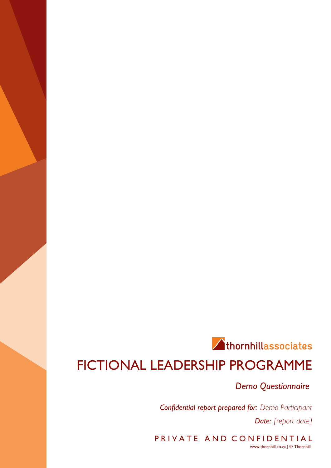# Athornhillassociates FICTIONAL LEADERSHIP PROGRAMME

*Demo Questionnaire*

*Confidential report prepared for: Demo Participant Date: [report date]*

PRIVATE AND CONFIDENTIAL www.thornhill.co.za | © Thornhill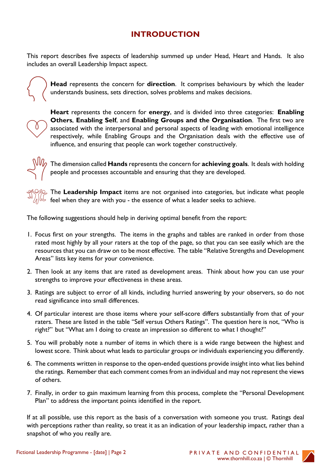# **INTRODUCTION**

This report describes five aspects of leadership summed up under Head, Heart and Hands. It also includes an overall Leadership Impact aspect.



**Head** represents the concern for **direction**. It comprises behaviours by which the leader understands business, sets direction, solves problems and makes decisions.



**Heart** represents the concern for **energy**, and is divided into three categories: **Enabling Others**, **Enabling Self**, and **Enabling Groups and the Organisation**. The first two are associated with the interpersonal and personal aspects of leading with emotional intelligence respectively, while Enabling Groups and the Organisation deals with the effective use of influence, and ensuring that people can work together constructively.



The dimension called **Hands** represents the concern for **achieving goals**. It deals with holding people and processes accountable and ensuring that they are developed.

The **Leadership Impact** items are not organised into categories, but indicate what people feel when they are with you - the essence of what a leader seeks to achieve.

The following suggestions should help in deriving optimal benefit from the report:

- 1. Focus first on your strengths. The items in the graphs and tables are ranked in order from those rated most highly by all your raters at the top of the page, so that you can see easily which are the resources that you can draw on to be most effective. The table "Relative Strengths and Development Areas" lists key items for your convenience.
- 2. Then look at any items that are rated as development areas. Think about how you can use your strengths to improve your effectiveness in these areas.
- 3. Ratings are subject to error of all kinds, including hurried answering by your observers, so do not read significance into small differences.
- 4. Of particular interest are those items where your self-score differs substantially from that of your raters. These are listed in the table "Self versus Others Ratings". The question here is not, "Who is right?" but "What am I doing to create an impression so different to what I thought?"
- 5. You will probably note a number of items in which there is a wide range between the highest and lowest score. Think about what leads to particular groups or individuals experiencing you differently.
- 6. The comments written in response to the open-ended questions provide insight into what lies behind the ratings. Remember that each comment comes from an individual and may not represent the views of others.
- 7. Finally, in order to gain maximum learning from this process, complete the "Personal Development Plan" to address the important points identified in the report.

If at all possible, use this report as the basis of a conversation with someone you trust. Ratings deal with perceptions rather than reality, so treat it as an indication of your leadership impact, rather than a snapshot of who you really are.

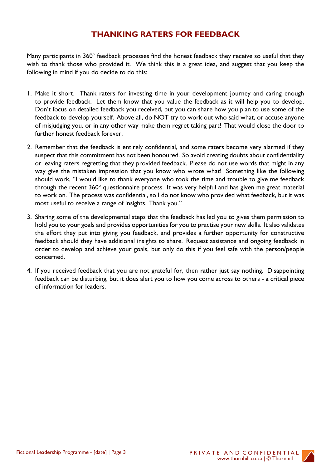# **THANKING RATERS FOR FEEDBACK**

Many participants in 360° feedback processes find the honest feedback they receive so useful that they wish to thank those who provided it. We think this is a great idea, and suggest that you keep the following in mind if you do decide to do this:

- 1. Make it short. Thank raters for investing time in your development journey and caring enough to provide feedback. Let them know that you value the feedback as it will help you to develop. Don't focus on detailed feedback you received, but you can share how you plan to use some of the feedback to develop yourself. Above all, do NOT try to work out who said what, or accuse anyone of misjudging you, or in any other way make them regret taking part! That would close the door to further honest feedback forever.
- 2. Remember that the feedback is entirely confidential, and some raters become very alarmed if they suspect that this commitment has not been honoured. So avoid creating doubts about confidentiality or leaving raters regretting that they provided feedback. Please do not use words that might in any way give the mistaken impression that you know who wrote what! Something like the following should work, "I would like to thank everyone who took the time and trouble to give me feedback through the recent 360° questionnaire process. It was very helpful and has given me great material to work on. The process was confidential, so I do not know who provided what feedback, but it was most useful to receive a range of insights. Thank you."
- 3. Sharing some of the developmental steps that the feedback has led you to gives them permission to hold you to your goals and provides opportunities for you to practise your new skills. It also validates the effort they put into giving you feedback, and provides a further opportunity for constructive feedback should they have additional insights to share. Request assistance and ongoing feedback in order to develop and achieve your goals, but only do this if you feel safe with the person/people concerned.
- 4. If you received feedback that you are not grateful for, then rather just say nothing. Disappointing feedback can be disturbing, but it does alert you to how you come across to others - a critical piece of information for leaders.

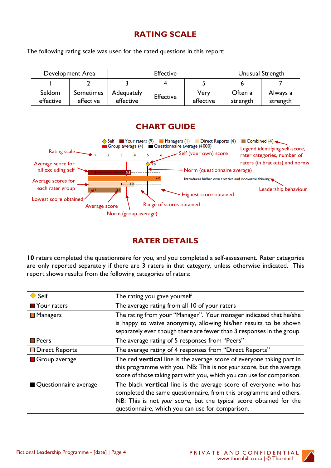# **RATING SCALE**

The following rating scale was used for the rated questions in this report:

| Development Area    |                        | <b>Effective</b>        |                  |                   | Unusual Strength    |                      |
|---------------------|------------------------|-------------------------|------------------|-------------------|---------------------|----------------------|
|                     |                        |                         |                  |                   |                     |                      |
| Seldom<br>effective | Sometimes<br>effective | Adequately<br>effective | <b>Effective</b> | Very<br>effective | Often a<br>strength | Always a<br>strength |

### **CHART GUIDE**



### **RATER DETAILS**

**10** raters completed the questionnaire for you, and you completed a self-assessment. Rater categories are only reported separately if there are 3 raters in that category, unless otherwise indicated. This report shows results from the following categories of raters:

| Self                       | The rating you gave yourself                                                                                                                                                                                                                                    |
|----------------------------|-----------------------------------------------------------------------------------------------------------------------------------------------------------------------------------------------------------------------------------------------------------------|
| $\blacksquare$ Your raters | The average rating from all 10 of your raters                                                                                                                                                                                                                   |
| <b>Managers</b>            | The rating from your "Manager". Your manager indicated that he/she<br>is happy to waive anonymity, allowing his/her results to be shown<br>separately even though there are fewer than 3 responses in the group.                                                |
| Peers                      | The average rating of 5 responses from "Peers"                                                                                                                                                                                                                  |
| <b>Direct Reports</b>      | The average rating of 4 responses from "Direct Reports"                                                                                                                                                                                                         |
| Group average              | The red vertical line is the average score of everyone taking part in<br>this programme with you. NB: This is not your score, but the average<br>score of those taking part with you, which you can use for comparison.                                         |
| Questionnaire average      | The black vertical line is the average score of everyone who has<br>completed the same questionnaire, from this programme and others.<br>NB: This is not your score, but the typical score obtained for the<br>questionnaire, which you can use for comparison. |

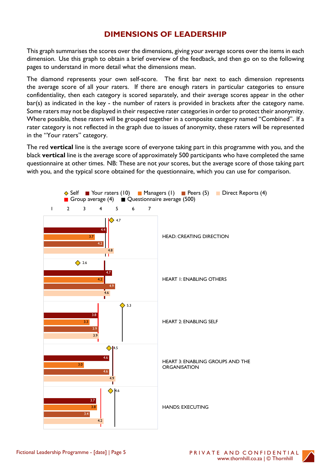## **DIMENSIONS OF LEADERSHIP**

This graph summarises the scores over the dimensions, giving your average scores over the items in each dimension. Use this graph to obtain a brief overview of the feedback, and then go on to the following pages to understand in more detail what the dimensions mean.

The diamond represents your own self-score. The first bar next to each dimension represents the average score of all your raters. If there are enough raters in particular categories to ensure confidentiality, then each category is scored separately, and their average scores appear in the other bar(s) as indicated in the key - the number of raters is provided in brackets after the category name. Some raters may not be displayed in their respective rater categories in order to protect their anonymity. Where possible, these raters will be grouped together in a composite category named "Combined". If a rater category is not reflected in the graph due to issues of anonymity, these raters will be represented in the "Your raters" category.

The red **vertical** line is the average score of everyone taking part in this programme with you, and the black **vertical** line is the average score of approximately 500 participants who have completed the same questionnaire at other times. NB: These are not *your* scores, but the average score of those taking part with you, and the typical score obtained for the questionnaire, which you can use for comparison.



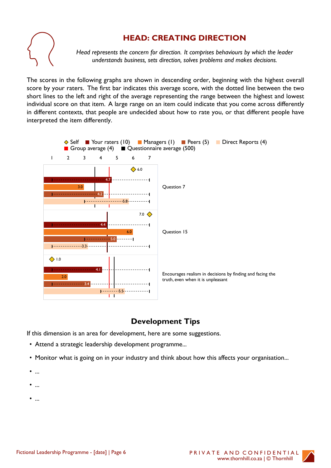

# **HEAD: CREATING DIRECTION**

*Head represents the concern for direction. It comprises behaviours by which the leader understands business, sets direction, solves problems and makes decisions.*

The scores in the following graphs are shown in descending order, beginning with the highest overall score by your raters. The first bar indicates this average score, with the dotted line between the two short lines to the left and right of the average representing the range between the highest and lowest individual score on that item. A large range on an item could indicate that you come across differently in different contexts, that people are undecided about how to rate you, or that different people have interpreted the item differently.



# **Development Tips**

If this dimension is an area for development, here are some suggestions.

- Attend a strategic leadership development programme...
- Monitor what is going on in your industry and think about how this affects your organisation...
- ...
- ...
- ...

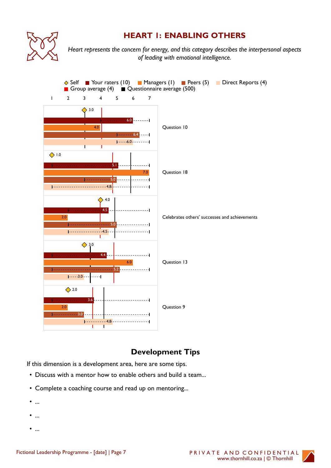

# **HEART 1: ENABLING OTHERS**

*Heart represents the concern for energy, and this category describes the interpersonal aspects of leading with emotional intelligence.*



# **Development Tips**

If this dimension is a development area, here are some tips.

- Discuss with a mentor how to enable others and build a team...
- Complete a coaching course and read up on mentoring...
- ...
- ...
- ...

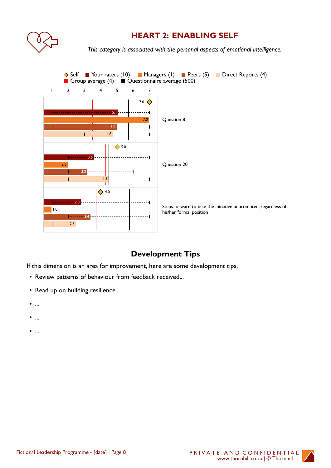

# **HEART 2: ENABLING SELF**

*This category is associated with the personal aspects of emotional intelligence.*



# **Development Tips**

If this dimension is an area for improvement, here are some development tips.

- Review patterns of behaviour from feedback received...
- Read up on building resilience...
- ...
- ...
- ...

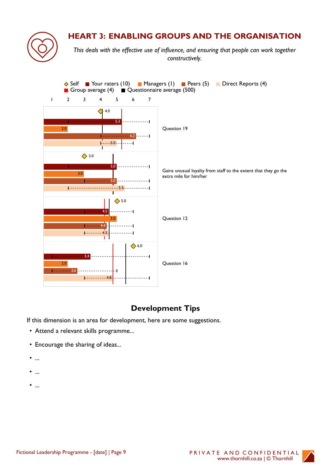

# **HEART 3: ENABLING GROUPS AND THE ORGANISATION**

*This deals with the effective use of influence, and ensuring that people can work together constructively.*



# **Development Tips**

If this dimension is an area for development, here are some suggestions.

- Attend a relevant skills programme...
- Encourage the sharing of ideas...
- ...
- ...
- ...

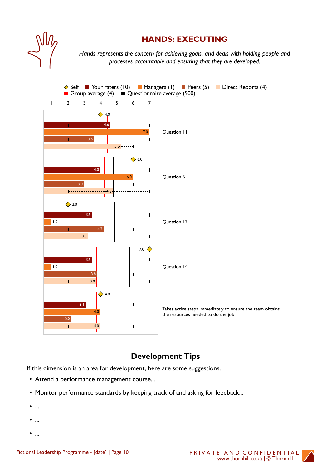

### **HANDS: EXECUTING**

*Hands represents the concern for achieving goals, and deals with holding people and processes accountable and ensuring that they are developed.*



# **Development Tips**

If this dimension is an area for development, here are some suggestions.

- Attend a performance management course...
- Monitor performance standards by keeping track of and asking for feedback...
- ...
- ...
- ...

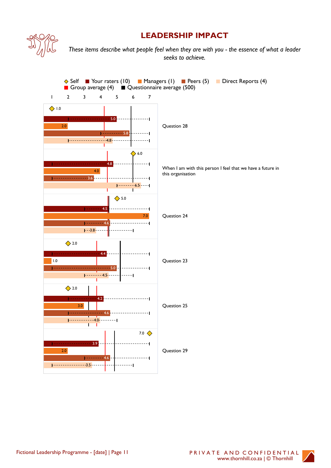

# **LEADERSHIP IMPACT**

*These items describe what people feel when they are with you - the essence of what a leader seeks to achieve.*



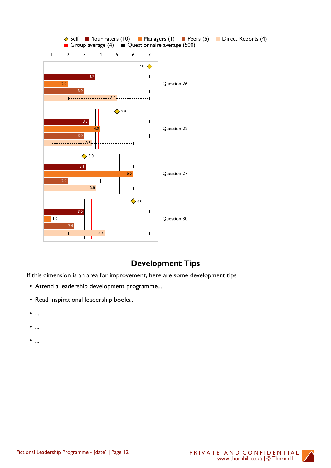

# **Development Tips**

If this dimension is an area for improvement, here are some development tips.

- Attend a leadership development programme...
- Read inspirational leadership books...
- ...
- ...
- ...

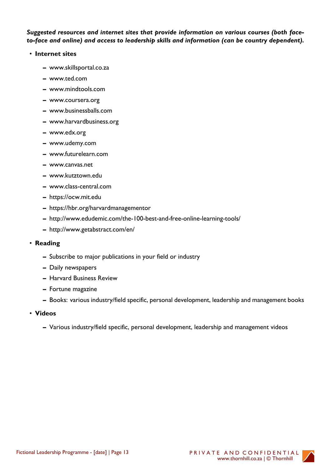#### *Suggested resources and internet sites that provide information on various courses (both faceto-face and online) and access to leadership skills and information (can be country dependent).*

#### • **Internet sites**

- **–** www.skillsportal.co.za
- **–** www.ted.com
- **–** www.mindtools.com
- **–** www.coursera.org
- **–** www.businessballs.com
- **–** www.harvardbusiness.org
- **–** www.edx.org
- **–** www.udemy.com
- **–** www.futurelearn.com
- **–** www.canvas.net
- **–** www.kutztown.edu
- **–** www.class-central.com
- **–** https://ocw.mit.edu
- **–** https://hbr.org/harvardmanagementor
- **–** http://www.edudemic.com/the-100-best-and-free-online-learning-tools/
- **–** http://www.getabstract.com/en/

#### • **Reading**

- **–** Subscribe to major publications in your field or industry
- **–** Daily newspapers
- **–** Harvard Business Review
- **–** Fortune magazine
- **–** Books: various industry/field specific, personal development, leadership and management books
- **Videos**
	- **–** Various industry/field specific, personal development, leadership and management videos

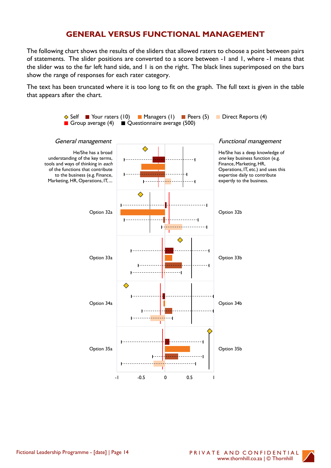### **GENERAL VERSUS FUNCTIONAL MANAGEMENT**

The following chart shows the results of the sliders that allowed raters to choose a point between pairs of statements. The slider positions are converted to a score between -1 and 1, where -1 means that the slider was to the far left hand side, and 1 is on the right. The black lines superimposed on the bars show the range of responses for each rater category.

The text has been truncated where it is too long to fit on the graph. The full text is given in the table that appears after the chart.



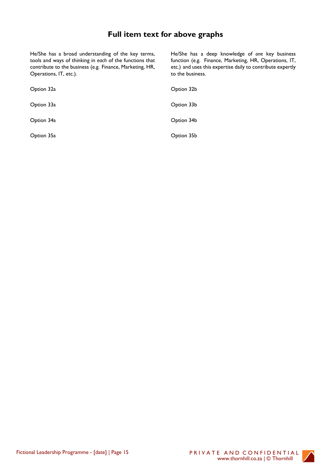# **Full item text for above graphs**

He/She has a broad understanding of the key terms, tools and ways of thinking in *each* of the functions that contribute to the business (e.g. Finance, Marketing, HR, Operations, IT, etc.).

He/She has a deep knowledge of *one* key business function (e.g. Finance, Marketing, HR, Operations, IT, etc.) and uses this expertise daily to contribute expertly to the business.

| Option 32a | Option 32b |
|------------|------------|
| Option 33a | Option 33b |
| Option 34a | Option 34b |
| Option 35a | Option 35b |

Fictional Leadership Programme - [date] | Page 15 PRIVATE AND CONFIDENTIAL

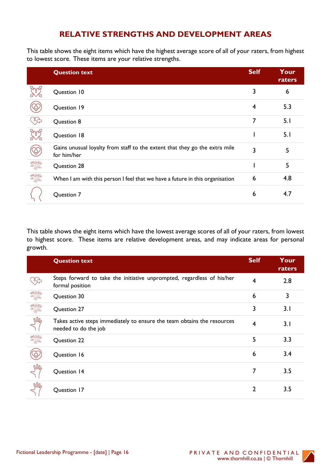# **RELATIVE STRENGTHS AND DEVELOPMENT AREAS**

This table shows the eight items which have the highest average score of all of your raters, from highest to lowest score. These items are your relative strengths.

|                                                              | <b>Question text</b>                                                                      | <b>Self</b> | Your<br>raters |
|--------------------------------------------------------------|-------------------------------------------------------------------------------------------|-------------|----------------|
|                                                              | Question 10                                                                               | 3           | 6              |
|                                                              | Question 19                                                                               | 4           | 5.3            |
|                                                              | Question 8                                                                                | 7           | 5.1            |
|                                                              | Question 18                                                                               |             | 5.1            |
| $\mathfrak{S}% _{T}=\mathfrak{S}_{T} \times\mathfrak{S}_{T}$ | Gains unusual loyalty from staff to the extent that they go the extra mile<br>for him/her | 3           | 5              |
| IME                                                          | Question 28                                                                               |             | 5              |
| JAK                                                          | When I am with this person I feel that we have a future in this organisation              | 6           | 4.8            |
|                                                              | Question 7                                                                                | 6           | 4.7            |

This table shows the eight items which have the lowest average scores of all of your raters, from lowest to highest score. These items are relative development areas, and may indicate areas for personal growth.

|            | <b>Question text</b>                                                                            | <b>Self</b> | Your<br>raters |
|------------|-------------------------------------------------------------------------------------------------|-------------|----------------|
| ᢤ          | Steps forward to take the initiative unprompted, regardless of his/her<br>formal position       | 4           | 2.8            |
| Ifil       | Question 30                                                                                     | 6           | 3              |
| <b>DAO</b> | Question 27                                                                                     | 3           | 3.1            |
| $M_2$      | Takes active steps immediately to ensure the team obtains the resources<br>needed to do the job | 4           | 3.1            |
| WA         | Question 22                                                                                     | 5           | 3.3            |
|            | Question 16                                                                                     | 6           | 3.4            |
| Nh,        | Question 14                                                                                     |             | 3.5            |
| $M_2$      | Question 17                                                                                     |             | 3.5            |

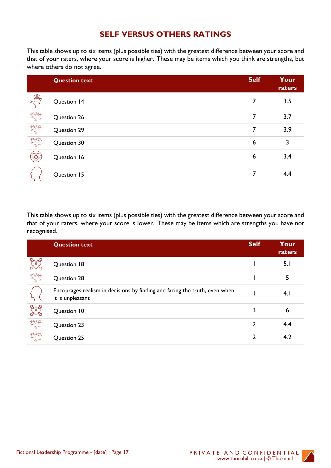# **SELF VERSUS OTHERS RATINGS**

This table shows up to six items (plus possible ties) with the greatest difference between your score and that of your raters, where your score is higher. These may be items which you think are strengths, but where others do not agree.

|       | <b>Question text</b> | <b>Self</b> | Your<br>raters |
|-------|----------------------|-------------|----------------|
| $M_2$ | Question 14          | 7           | 3.5            |
| Iffle | Question 26          | 7           | 3.7            |
| Iffle | Question 29          | 7           | 3.9            |
| IME   | Question 30          | 6           | 3              |
|       | Question 16          | 6           | 3.4            |
|       | Question 15          | 7           | 4.4            |

This table shows up to six items (plus possible ties) with the greatest difference between your score and that of your raters, where your score is lower. These may be items which are strengths you have not recognised.

|             | <b>Question text</b>                                                                           | <b>Self</b> | Your<br>raters |
|-------------|------------------------------------------------------------------------------------------------|-------------|----------------|
|             | Question 18                                                                                    |             | 5.1            |
| WIL         | Question 28                                                                                    |             | 5              |
|             | Encourages realism in decisions by finding and facing the truth, even when<br>it is unpleasant |             | 4.1            |
|             | Question 10                                                                                    | 3           | 6              |
| <b>D</b> WE | Question 23                                                                                    | າ           | 4.4            |
|             | Question 25                                                                                    |             | 4.2            |

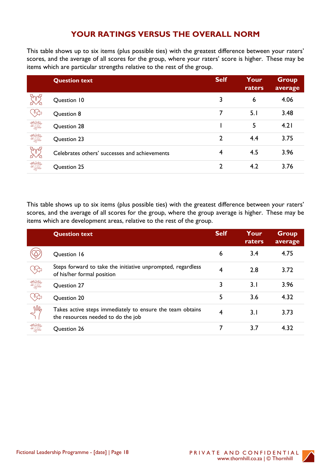## **YOUR RATINGS VERSUS THE OVERALL NORM**

This table shows up to six items (plus possible ties) with the greatest difference between your raters' scores, and the average of all scores for the group, where your raters' score is higher. These may be items which are particular strengths relative to the rest of the group.

|                | <b>Question text</b>                          | <b>Self</b> | Your<br>raters | <b>Group</b><br>average |
|----------------|-----------------------------------------------|-------------|----------------|-------------------------|
|                | Question 10                                   | 3           | 6              | 4.06                    |
| Ѷ҈             | Question 8                                    | 7           | 5.1            | 3.48                    |
| IME            | Question 28                                   |             | 5              | 4.21                    |
| IME            | Question 23                                   | 2           | 4.4            | 3.75                    |
| <b>By Bydd</b> | Celebrates others' successes and achievements | 4           | 4.5            | 3.96                    |
| <b>MAC</b>     | Question 25                                   | 2           | 4.2            | 3.76                    |

This table shows up to six items (plus possible ties) with the greatest difference between your raters' scores, and the average of all scores for the group, where the group average is higher. These may be items which are development areas, relative to the rest of the group.

|             | <b>Question text</b>                                                                            | <b>Self</b> | Your<br>raters | <b>Group</b><br>average |
|-------------|-------------------------------------------------------------------------------------------------|-------------|----------------|-------------------------|
|             | Question 16                                                                                     | 6           | 3.4            | 4.75                    |
| ∛≻          | Steps forward to take the initiative unprompted, regardless<br>of his/her formal position       | 4           | 2.8            | 3.72                    |
| Roge<br>Mal | <b>Question 27</b>                                                                              | 3           | 3.1            | 3.96                    |
| ०≿          | Question 20                                                                                     | 5           | 3.6            | 4.32                    |
| $M_6$       | Takes active steps immediately to ensure the team obtains<br>the resources needed to do the job | 4           | 3.1            | 3.73                    |
|             | Question 26                                                                                     |             | 3.7            | 4.32                    |

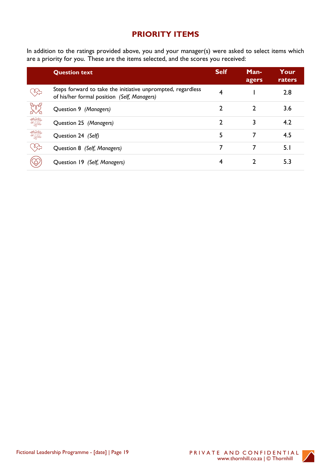# **PRIORITY ITEMS**

In addition to the ratings provided above, you and your manager(s) were asked to select items which are a priority for you. These are the items selected, and the scores you received:

|            | <b>Question text</b>                                                                                       | <b>Self</b> | Man-<br>agers | Your<br>raters |
|------------|------------------------------------------------------------------------------------------------------------|-------------|---------------|----------------|
| ⇖          | Steps forward to take the initiative unprompted, regardless<br>of his/her formal position (Self, Managers) | 4           |               | 2.8            |
| <b>BAZ</b> | Question 9 (Managers)                                                                                      | 2           | 2             | 3.6            |
| Iffle      | Question 25 (Managers)                                                                                     | 2           |               | 4.2            |
| IME        | Question 24 (Self)                                                                                         | 5           | 7             | 4.5            |
| د          | Question 8 (Self, Managers)                                                                                | 7           |               | 5.1            |
|            | Question 19 (Self, Managers)                                                                               | 4           |               | 5.3            |

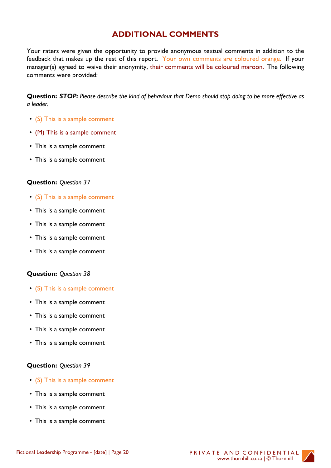# **ADDITIONAL COMMENTS**

Your raters were given the opportunity to provide anonymous textual comments in addition to the feedback that makes up the rest of this report. Your own comments are coloured orange. If your manager(s) agreed to waive their anonymity, their comments will be coloured maroon. The following comments were provided:

**Question:** *STOP: Please describe the kind of behaviour that Demo should stop doing to be more effective as a leader.*

- (S) This is a sample comment
- (M) This is a sample comment
- This is a sample comment
- This is a sample comment

#### **Question:** *Question 37*

- (S) This is a sample comment
- This is a sample comment
- This is a sample comment
- This is a sample comment
- This is a sample comment

#### **Question:** *Question 38*

- (S) This is a sample comment
- This is a sample comment
- This is a sample comment
- This is a sample comment
- This is a sample comment

#### **Question:** *Question 39*

- (S) This is a sample comment
- This is a sample comment
- This is a sample comment
- This is a sample comment

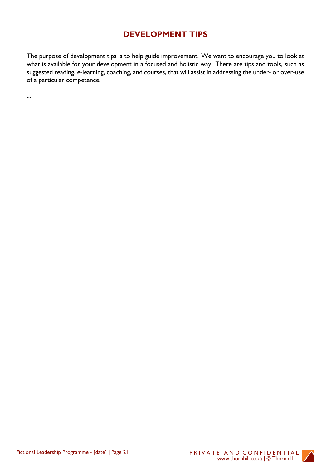# **DEVELOPMENT TIPS**

The purpose of development tips is to help guide improvement. We want to encourage you to look at what is available for your development in a focused and holistic way. There are tips and tools, such as suggested reading, e-learning, coaching, and courses, that will assist in addressing the under- or over-use of a particular competence.

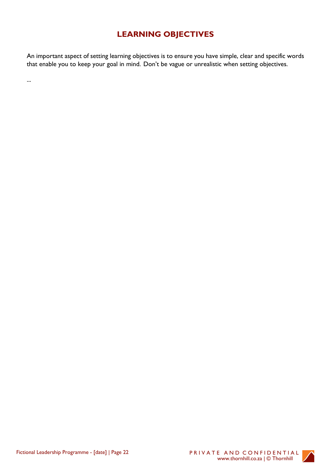# **LEARNING OBJECTIVES**

An important aspect of setting learning objectives is to ensure you have simple, clear and specific words that enable you to keep your goal in mind. Don't be vague or unrealistic when setting objectives.

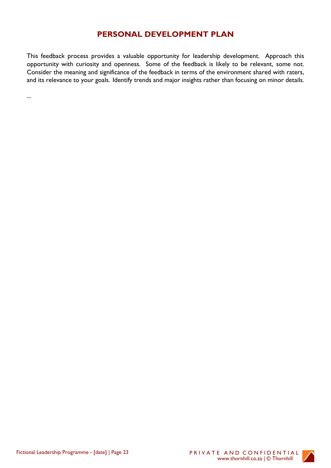### **PERSONAL DEVELOPMENT PLAN**

This feedback process provides a valuable opportunity for leadership development. Approach this opportunity with curiosity and openness. Some of the feedback is likely to be relevant, some not. Consider the meaning and significance of the feedback in terms of the environment shared with raters, and its relevance to your goals. Identify trends and major insights rather than focusing on minor details.